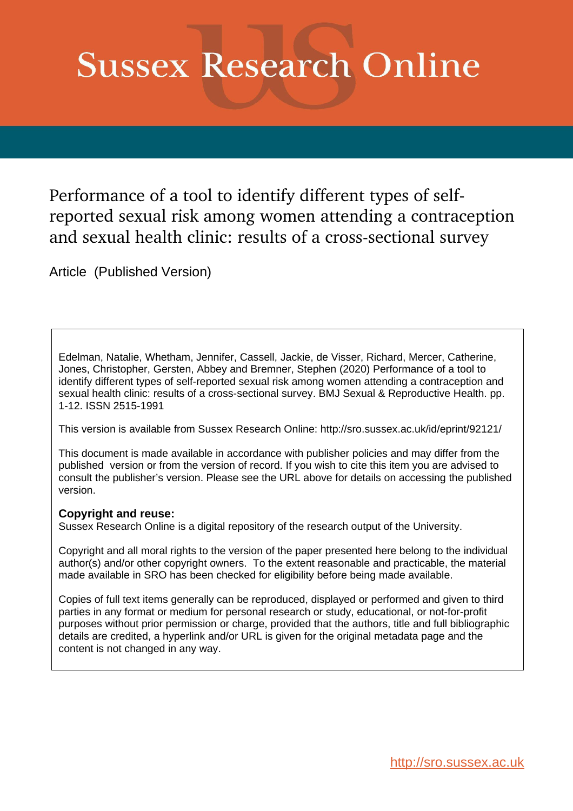# **Sussex Research Online**

Performance of a tool to identify different types of selfreported sexual risk among women attending a contraception and sexual health clinic: results of a cross-sectional survey

Article (Published Version)

Edelman, Natalie, Whetham, Jennifer, Cassell, Jackie, de Visser, Richard, Mercer, Catherine, Jones, Christopher, Gersten, Abbey and Bremner, Stephen (2020) Performance of a tool to identify different types of self-reported sexual risk among women attending a contraception and sexual health clinic: results of a cross-sectional survey. BMJ Sexual & Reproductive Health. pp. 1-12. ISSN 2515-1991

This version is available from Sussex Research Online: http://sro.sussex.ac.uk/id/eprint/92121/

This document is made available in accordance with publisher policies and may differ from the published version or from the version of record. If you wish to cite this item you are advised to consult the publisher's version. Please see the URL above for details on accessing the published version.

# **Copyright and reuse:**

Sussex Research Online is a digital repository of the research output of the University.

Copyright and all moral rights to the version of the paper presented here belong to the individual author(s) and/or other copyright owners. To the extent reasonable and practicable, the material made available in SRO has been checked for eligibility before being made available.

Copies of full text items generally can be reproduced, displayed or performed and given to third parties in any format or medium for personal research or study, educational, or not-for-profit purposes without prior permission or charge, provided that the authors, title and full bibliographic details are credited, a hyperlink and/or URL is given for the original metadata page and the content is not changed in any way.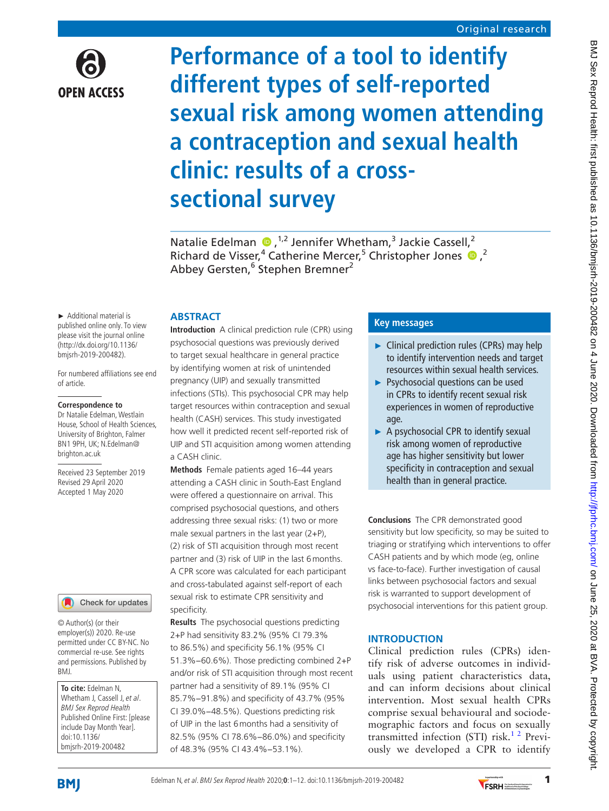

# **Performance of a tool to identify different types of self-reported sexual risk among women attending a contraception and sexual health clinic: results of a crosssectional survey**

Natalie Edelman  $\bullet$ ,<sup>1,2</sup> Jennifer Whetham,<sup>3</sup> Jackie Cassell,<sup>2</sup> Richardde Visser,<sup>4</sup> Catherine Mercer,<sup>5</sup> Christopher Jones <sup>1</sup> Abbey Gersten,<sup>6</sup> Stephen Bremner<sup>2</sup>

► Additional material is published online only. To view please visit the journal online (http://dx.doi.org/10.1136/ bmjsrh-2019-200482).

For numbered affiliations see end of article.

#### **Correspondence to**

Dr Natalie Edelman, Westlain House, School of Health Sciences, University of Brighton, Falmer BN1 9PH, UK; N.Edelman@ brighton.ac.uk

Received 23 September 2019 Revised 29 April 2020 Accepted 1 May 2020

#### Check for updates

© Author(s) (or their employer(s)) 2020. Re-use permitted under CC BY-NC. No commercial re-use. See rights and permissions. Published by BMJ.

**To cite:** Edelman N, Whetham J, Cassell J, et al. BMJ Sex Reprod Health Published Online First: [please include Day Month Year]. doi:10.1136/ bmjsrh-2019-200482

# **Abstract**

**Introduction** A clinical prediction rule (CPR) using psychosocial questions was previously derived to target sexual healthcare in general practice by identifying women at risk of unintended pregnancy (UIP) and sexually transmitted infections (STIs). This psychosocial CPR may help target resources within contraception and sexual health (CASH) services. This study investigated how well it predicted recent self-reported risk of UIP and STI acquisition among women attending a CASH clinic.

**Methods** Female patients aged 16–44 years attending a CASH clinic in South-East England were offered a questionnaire on arrival. This comprised psychosocial questions, and others addressing three sexual risks: (1) two or more male sexual partners in the last year (2+P), (2) risk of STI acquisition through most recent partner and (3) risk of UIP in the last 6months. A CPR score was calculated for each participant and cross-tabulated against self-report of each sexual risk to estimate CPR sensitivity and specificity.

**Results** The psychosocial questions predicting 2+P had sensitivity 83.2% (95% CI 79.3% to 86.5%) and specificity 56.1% (95% CI 51.3%−60.6%). Those predicting combined 2+P and/or risk of STI acquisition through most recent partner had a sensitivity of 89.1% (95% CI 85.7%−91.8%) and specificity of 43.7% (95% CI 39.0%−48.5%). Questions predicting risk of UIP in the last 6months had a sensitivity of 82.5% (95% CI 78.6%−86.0%) and specificity of 48.3% (95% CI 43.4%−53.1%).

# **Key messages**

- ► Clinical prediction rules (CPRs) may help to identify intervention needs and target resources within sexual health services.
- ► Psychosocial questions can be used in CPRs to identify recent sexual risk experiences in women of reproductive age.
- ► A psychosocial CPR to identify sexual risk among women of reproductive age has higher sensitivity but lower specificity in contraception and sexual health than in general practice.

**Conclusions** The CPR demonstrated good sensitivity but low specificity, so may be suited to triaging or stratifying which interventions to offer CASH patients and by which mode (eg, online vs face-to-face). Further investigation of causal links between psychosocial factors and sexual risk is warranted to support development of psychosocial interventions for this patient group.

# **Introduction**

Clinical prediction rules (CPRs) identify risk of adverse outcomes in individuals using patient characteristics data, and can inform decisions about clinical intervention. Most sexual health CPRs comprise sexual behavioural and sociodemographic factors and focus on sexually transmitted infection (STI) risk.<sup>12</sup> Previously we developed a CPR to identify

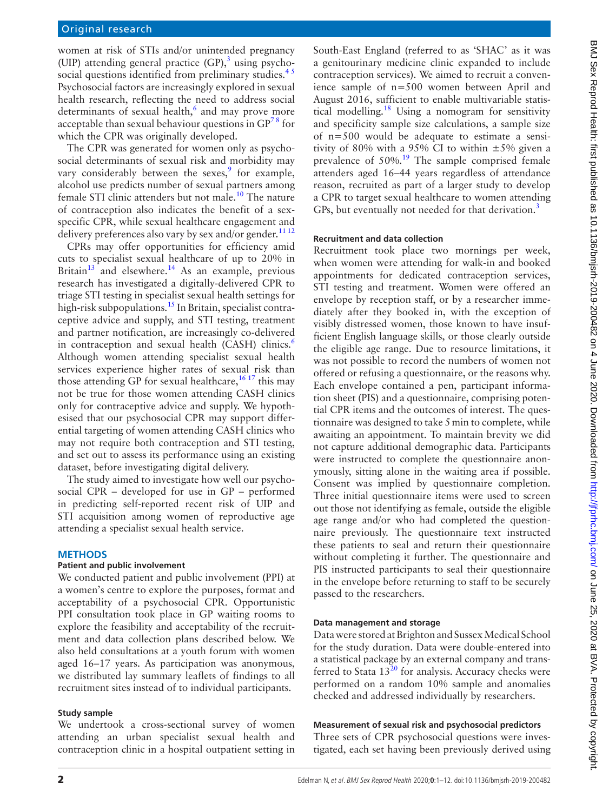women at risk of STIs and/or unintended pregnancy (UIP) attending general practice  $(GP)$ ,<sup>[3](#page-12-1)</sup> using psychosocial questions identified from preliminary studies.<sup>45</sup> Psychosocial factors are increasingly explored in sexual health research, reflecting the need to address social determinants of sexual health, $6$  and may prove more acceptable than sexual behaviour questions in  $GP^{78}$  for which the CPR was originally developed.

The CPR was generated for women only as psychosocial determinants of sexual risk and morbidity may vary considerably between the sexes, $9$  for example, alcohol use predicts number of sexual partners among female STI clinic attenders but not male[.10](#page-12-6) The nature of contraception also indicates the benefit of a sexspecific CPR, while sexual healthcare engagement and delivery preferences also vary by sex and/or gender.<sup>1112</sup>

CPRs may offer opportunities for efficiency amid cuts to specialist sexual healthcare of up to 20% in Britain $13$  and elsewhere.<sup>14</sup> As an example, previous research has investigated a digitally-delivered CPR to triage STI testing in specialist sexual health settings for high-risk subpopulations.<sup>[15](#page-12-10)</sup> In Britain, specialist contraceptive advice and supply, and STI testing, treatment and partner notification, are increasingly co-delivered in contraception and sexual health (CASH) clinics.<sup>[6](#page-12-3)</sup> Although women attending specialist sexual health services experience higher rates of sexual risk than those attending GP for sexual healthcare,  $1617$  this may not be true for those women attending CASH clinics only for contraceptive advice and supply. We hypothesised that our psychosocial CPR may support differential targeting of women attending CASH clinics who may not require both contraception and STI testing, and set out to assess its performance using an existing dataset, before investigating digital delivery.

The study aimed to investigate how well our psychosocial CPR – developed for use in GP – performed in predicting self-reported recent risk of UIP and STI acquisition among women of reproductive age attending a specialist sexual health service.

#### **Methods**

#### **Patient and public involvement**

We conducted patient and public involvement (PPI) at a women's centre to explore the purposes, format and acceptability of a psychosocial CPR. Opportunistic PPI consultation took place in GP waiting rooms to explore the feasibility and acceptability of the recruitment and data collection plans described below. We also held consultations at a youth forum with women aged 16–17 years. As participation was anonymous, we distributed lay summary leaflets of findings to all recruitment sites instead of to individual participants.

#### **Study sample**

We undertook a cross-sectional survey of women attending an urban specialist sexual health and contraception clinic in a hospital outpatient setting in

South-East England (referred to as 'SHAC' as it was a genitourinary medicine clinic expanded to include contraception services). We aimed to recruit a convenience sample of n=500 women between April and August 2016, sufficient to enable multivariable statistical modelling.<sup>18</sup> Using a nomogram for sensitivity and specificity sample size calculations, a sample size of n=500 would be adequate to estimate a sensitivity of 80% with a 95% CI to within  $\pm$ 5% given a prevalence of 50%.<sup>19</sup> The sample comprised female attenders aged 16–44 years regardless of attendance reason, recruited as part of a larger study to develop a CPR to target sexual healthcare to women attending GPs, but eventually not needed for that derivation.<sup>3</sup>

#### **Recruitment and data collection**

Recruitment took place two mornings per week, when women were attending for walk-in and booked appointments for dedicated contraception services, STI testing and treatment. Women were offered an envelope by reception staff, or by a researcher immediately after they booked in, with the exception of visibly distressed women, those known to have insufficient English language skills, or those clearly outside the eligible age range. Due to resource limitations, it was not possible to record the numbers of women not offered or refusing a questionnaire, or the reasons why. Each envelope contained a pen, participant information sheet (PIS) and a questionnaire, comprising potential CPR items and the outcomes of interest. The questionnaire was designed to take 5min to complete, while awaiting an appointment. To maintain brevity we did not capture additional demographic data. Participants were instructed to complete the questionnaire anonymously, sitting alone in the waiting area if possible. Consent was implied by questionnaire completion. Three initial questionnaire items were used to screen out those not identifying as female, outside the eligible age range and/or who had completed the questionnaire previously. The questionnaire text instructed these patients to seal and return their questionnaire without completing it further. The questionnaire and PIS instructed participants to seal their questionnaire in the envelope before returning to staff to be securely passed to the researchers.

#### **Data management and storage**

Data were stored at Brighton and Sussex Medical School for the study duration. Data were double-entered into a statistical package by an external company and transferred to Stata  $13^{20}$  $13^{20}$  $13^{20}$  for analysis. Accuracy checks were performed on a random 10% sample and anomalies checked and addressed individually by researchers.

#### **Measurement of sexual risk and psychosocial predictors**

Three sets of CPR psychosocial questions were investigated, each set having been previously derived using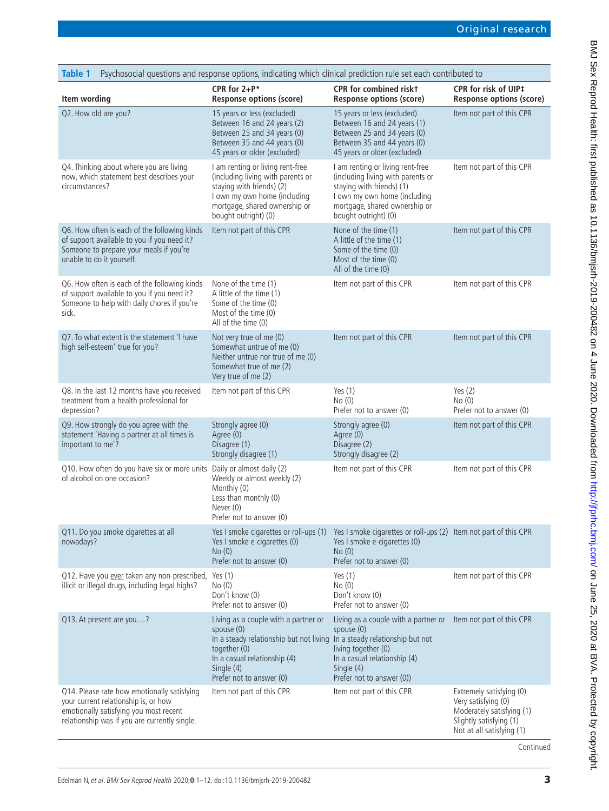<span id="page-3-0"></span>

| <b>Table 1</b>                                                                                                                                                                 | Psychosocial questions and response options, indicating which clinical prediction rule set each contributed to                                                                                                           |                                                                                                                                                                                             |                                                                                                                                      |
|--------------------------------------------------------------------------------------------------------------------------------------------------------------------------------|--------------------------------------------------------------------------------------------------------------------------------------------------------------------------------------------------------------------------|---------------------------------------------------------------------------------------------------------------------------------------------------------------------------------------------|--------------------------------------------------------------------------------------------------------------------------------------|
| Item wording                                                                                                                                                                   | CPR for $2+P^*$<br><b>Response options (score)</b>                                                                                                                                                                       | <b>CPR</b> for combined riskt<br><b>Response options (score)</b>                                                                                                                            | CPR for risk of UIP‡<br><b>Response options (score)</b>                                                                              |
| Q2. How old are you?                                                                                                                                                           | 15 years or less (excluded)<br>Between 16 and 24 years (2)<br>Between 25 and 34 years (0)<br>Between 35 and 44 years (0)<br>45 years or older (excluded)                                                                 | 15 years or less (excluded)<br>Between 16 and 24 years (1)<br>Between 25 and 34 years (0)<br>Between 35 and 44 years (0)<br>45 years or older (excluded)                                    | Item not part of this CPR                                                                                                            |
| Q4. Thinking about where you are living<br>now, which statement best describes your<br>circumstances?                                                                          | I am renting or living rent-free<br>(including living with parents or<br>staying with friends) (2)<br>I own my own home (including<br>mortgage, shared ownership or<br>bought outright) (0)                              | I am renting or living rent-free<br>(including living with parents or<br>staying with friends) (1)<br>I own my own home (including<br>mortgage, shared ownership or<br>bought outright) (0) | Item not part of this CPR                                                                                                            |
| Q6. How often is each of the following kinds<br>of support available to you if you need it?<br>Someone to prepare your meals if you're<br>unable to do it yourself.            | Item not part of this CPR                                                                                                                                                                                                | None of the time (1)<br>A little of the time (1)<br>Some of the time (0)<br>Most of the time (0)<br>All of the time (0)                                                                     | Item not part of this CPR                                                                                                            |
| Q6. How often is each of the following kinds<br>of support available to you if you need it?<br>Someone to help with daily chores if you're<br>sick.                            | None of the time (1)<br>A little of the time (1)<br>Some of the time (0)<br>Most of the time (0)<br>All of the time (0)                                                                                                  | Item not part of this CPR                                                                                                                                                                   | Item not part of this CPR                                                                                                            |
| Q7. To what extent is the statement 'I have<br>high self-esteem' true for you?                                                                                                 | Not very true of me (0)<br>Somewhat untrue of me (0)<br>Neither untrue nor true of me (0)<br>Somewhat true of me (2)<br>Very true of me (2)                                                                              | Item not part of this CPR                                                                                                                                                                   | Item not part of this CPR                                                                                                            |
| Q8. In the last 12 months have you received<br>treatment from a health professional for<br>depression?                                                                         | Item not part of this CPR                                                                                                                                                                                                | Yes $(1)$<br>No(0)<br>Prefer not to answer (0)                                                                                                                                              | Yes $(2)$<br>No(0)<br>Prefer not to answer (0)                                                                                       |
| Q9. How strongly do you agree with the<br>statement 'Having a partner at all times is<br>important to me'?                                                                     | Strongly agree (0)<br>Agree (0)<br>Disagree (1)<br>Strongly disagree (1)                                                                                                                                                 | Strongly agree (0)<br>Agree (0)<br>Disagree (2)<br>Strongly disagree (2)                                                                                                                    | Item not part of this CPR                                                                                                            |
| Q10. How often do you have six or more units Daily or almost daily (2)<br>of alcohol on one occasion?                                                                          | Weekly or almost weekly (2)<br>Monthly (0)<br>Less than monthly (0)<br>Never (0)<br>Prefer not to answer (0)                                                                                                             | Item not part of this CPR                                                                                                                                                                   | Item not part of this CPR                                                                                                            |
| Q11. Do you smoke cigarettes at all<br>nowadays?                                                                                                                               | Yes I smoke cigarettes or roll-ups (1)<br>Yes I smoke e-cigarettes (0)<br>No(0)<br>Prefer not to answer (0)                                                                                                              | Yes I smoke cigarettes or roll-ups (2) Item not part of this CPR<br>Yes I smoke e-cigarettes (0)<br>No(0)<br>Prefer not to answer (0)                                                       |                                                                                                                                      |
| Q12. Have you ever taken any non-prescribed,<br>illicit or illegal drugs, including legal highs?                                                                               | Yes $(1)$<br>No(0)<br>Don't know (0)<br>Prefer not to answer (0)                                                                                                                                                         | Yes $(1)$<br>No(0)<br>Don't know (0)<br>Prefer not to answer (0)                                                                                                                            | Item not part of this CPR                                                                                                            |
| Q13. At present are you?                                                                                                                                                       | Living as a couple with a partner or<br>spouse (0)<br>In a steady relationship but not living In a steady relationship but not<br>together (0)<br>In a casual relationship (4)<br>Single (4)<br>Prefer not to answer (0) | Living as a couple with a partner or Item not part of this CPR<br>spouse (0)<br>living together (0)<br>In a casual relationship (4)<br>Single (4)<br>Prefer not to answer (0))              |                                                                                                                                      |
| Q14. Please rate how emotionally satisfying<br>your current relationship is, or how<br>emotionally satisfying you most recent<br>relationship was if you are currently single. | Item not part of this CPR                                                                                                                                                                                                | Item not part of this CPR                                                                                                                                                                   | Extremely satisfying (0)<br>Very satisfying (0)<br>Moderately satisfying (1)<br>Slightly satisfying (1)<br>Not at all satisfying (1) |

BMJ Sex Reprod Health: first published as 10.1136/bmjsrh-2019-200482 on 4 June 2020. Downloaded from http://jprhc.bm/ on June 25, 2020 at BVA. Protected by copyright. BMJ Sex Reprod Health: first published as 10.1136/bmjsrh-200482 on 4 June 2020. Downloaded from http://jtprhc.bmj.com/ on June 25, 2020 at BVA. Protected by copyright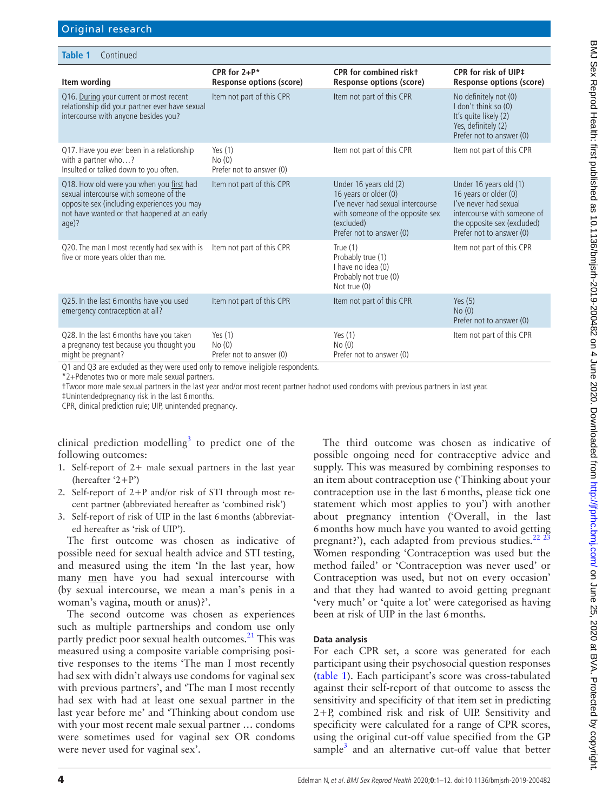| Table 1<br>Continued                                                                                                                                                                         |                                                |                                                                                                                                                                    |                                                                                                                                                                    |
|----------------------------------------------------------------------------------------------------------------------------------------------------------------------------------------------|------------------------------------------------|--------------------------------------------------------------------------------------------------------------------------------------------------------------------|--------------------------------------------------------------------------------------------------------------------------------------------------------------------|
| Item wording                                                                                                                                                                                 | CPR for $2+P^*$<br>Response options (score)    | <b>CPR</b> for combined riskt<br>Response options (score)                                                                                                          | CPR for risk of UIP‡<br>Response options (score)                                                                                                                   |
| Q16. During your current or most recent<br>relationship did your partner ever have sexual<br>intercourse with anyone besides you?                                                            | Item not part of this CPR                      | Item not part of this CPR                                                                                                                                          | No definitely not (0)<br>I don't think so (0)<br>It's quite likely (2)<br>Yes, definitely (2)<br>Prefer not to answer (0)                                          |
| Q17. Have you ever been in a relationship<br>with a partner who?<br>Insulted or talked down to you often.                                                                                    | Yes $(1)$<br>No(0)<br>Prefer not to answer (0) | Item not part of this CPR                                                                                                                                          | Item not part of this CPR                                                                                                                                          |
| Q18. How old were you when you first had<br>sexual intercourse with someone of the<br>opposite sex (including experiences you may<br>not have wanted or that happened at an early<br>$aqe$ ? | Item not part of this CPR                      | Under 16 years old (2)<br>16 years or older (0)<br>I've never had sexual intercourse<br>with someone of the opposite sex<br>(excluded)<br>Prefer not to answer (0) | Under 16 years old (1)<br>16 years or older (0)<br>I've never had sexual<br>intercourse with someone of<br>the opposite sex (excluded)<br>Prefer not to answer (0) |
| Q20. The man I most recently had sex with is<br>five or more years older than me.                                                                                                            | Item not part of this CPR                      | True $(1)$<br>Probably true (1)<br>I have no idea (0)<br>Probably not true (0)<br>Not true (0)                                                                     | Item not part of this CPR                                                                                                                                          |
| Q25. In the last 6 months have you used<br>emergency contraception at all?                                                                                                                   | Item not part of this CPR                      | Item not part of this CPR                                                                                                                                          | Yes $(5)$<br>No(0)<br>Prefer not to answer (0)                                                                                                                     |
| Q28. In the last 6 months have you taken<br>a pregnancy test because you thought you<br>might be pregnant?<br>$\sim$ $\sim$ $\sim$                                                           | Yes $(1)$<br>No(0)<br>Prefer not to answer (0) | Yes $(1)$<br>No(0)<br>Prefer not to answer (0)                                                                                                                     | Item not part of this CPR                                                                                                                                          |

Q1 and Q3 are excluded as they were used only to remove ineligible respondents.

\*2+Pdenotes two or more male sexual partners.

†Twoor more male sexual partners in the last year and/or most recent partner hadnot used condoms with previous partners in last year.

‡Unintendedpregnancy risk in the last 6months.

CPR, clinical prediction rule; UIP, unintended pregnancy.

clinical prediction modelling<sup>3</sup> to predict one of the following outcomes:

- 1. Self-report of 2+ male sexual partners in the last year (hereafter '2+P')
- 2. Self-report of 2+P and/or risk of STI through most recent partner (abbreviated hereafter as 'combined risk')
- 3. Self-report of risk of UIP in the last 6months (abbreviated hereafter as 'risk of UIP').

The first outcome was chosen as indicative of possible need for sexual health advice and STI testing, and measured using the item 'In the last year, how many men have you had sexual intercourse with (by sexual intercourse, we mean a man's penis in a woman's vagina, mouth or anus)?'.

The second outcome was chosen as experiences such as multiple partnerships and condom use only partly predict poor sexual health outcomes.<sup>21</sup> This was measured using a composite variable comprising positive responses to the items 'The man I most recently had sex with didn't always use condoms for vaginal sex with previous partners', and 'The man I most recently had sex with had at least one sexual partner in the last year before me' and 'Thinking about condom use with your most recent male sexual partner … condoms were sometimes used for vaginal sex OR condoms were never used for vaginal sex'.

The third outcome was chosen as indicative of possible ongoing need for contraceptive advice and supply. This was measured by combining responses to an item about contraception use ('Thinking about your contraception use in the last 6months, please tick one statement which most applies to you') with another about pregnancy intention ('Overall, in the last 6months how much have you wanted to avoid getting pregnant?'), each adapted from previous studies. $22\frac{23}{3}$ Women responding 'Contraception was used but the method failed' or 'Contraception was never used' or Contraception was used, but not on every occasion' and that they had wanted to avoid getting pregnant 'very much' or 'quite a lot' were categorised as having been at risk of UIP in the last 6months.

#### **Data analysis**

For each CPR set, a score was generated for each participant using their psychosocial question responses [\(table](#page-3-0) 1). Each participant's score was cross-tabulated against their self-report of that outcome to assess the sensitivity and specificity of that item set in predicting 2+P, combined risk and risk of UIP. Sensitivity and specificity were calculated for a range of CPR scores, using the original cut-off value specified from the GP sample<sup>3</sup> and an alternative cut-off value that better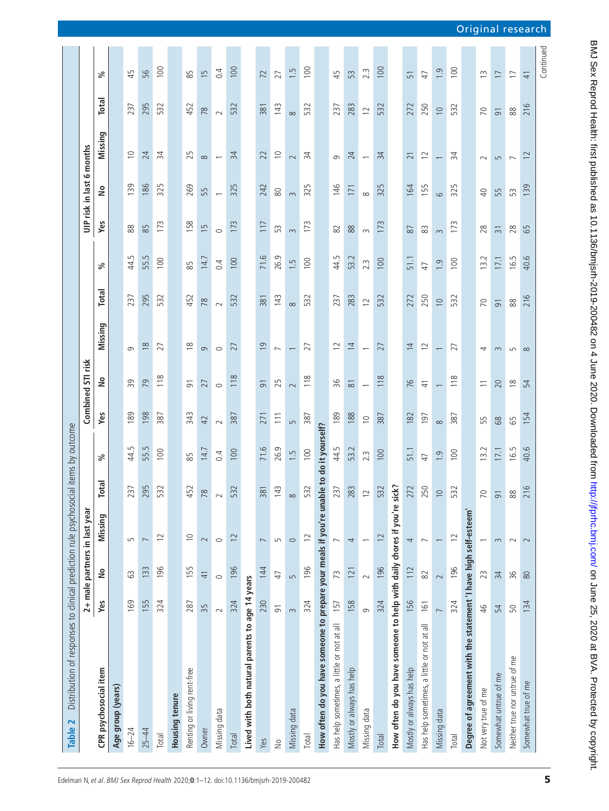<span id="page-5-0"></span>

| Distribution of responses to clinical prediction rule psychoso<br>Table 2               |                |                |                               |                | cial items by outcome |             |                          |                          |                |                  |                |                           |                          |                |                  |
|-----------------------------------------------------------------------------------------|----------------|----------------|-------------------------------|----------------|-----------------------|-------------|--------------------------|--------------------------|----------------|------------------|----------------|---------------------------|--------------------------|----------------|------------------|
|                                                                                         |                |                | 2+ male partners in last year |                |                       |             | Combined STI risk        |                          |                |                  |                | UIP risk in last 6 months |                          |                |                  |
| CPR psychosocial item                                                                   | Yes            | å              | Missing                       | Total          | వ్                    | Yes         | å                        | Missing                  | <b>Total</b>   | వ్               | Yes            | å                         | Missing                  | Total          | వ్               |
| Age group (years)                                                                       |                |                |                               |                |                       |             |                          |                          |                |                  |                |                           |                          |                |                  |
| $16 - 24$                                                                               | 169            | 63             | S                             | 237            | 44.5                  | 189         | 39                       | G                        | 237            | Lņ.<br>44.       | $88$           | 139                       | $\supseteq$              | 237            | 45               |
| $25 - 44$                                                                               | 155            | 133            | $\overline{\phantom{0}}$      | 295            | 55.5                  | 198         | 79                       | $\approx$                | 295            | 55.5             | 85             | 186                       | 24                       | 295            | 56               |
| Total                                                                                   | 324            | 196            | $\overline{C}$                | 532            | 100                   | 387         | 118                      | 27                       | 532            | 100              | 173            | 325                       | 34                       | 532            | 100              |
| Housing tenure                                                                          |                |                |                               |                |                       |             |                          |                          |                |                  |                |                           |                          |                |                  |
| Renting or living rent-free                                                             | 287            | 155            | $\supseteq$                   | 452            | 85                    | 343         | $\overline{9}$           | $\frac{8}{10}$           | 452            | 85               | 158            | 269                       | 25                       | 452            | 85               |
| Owner                                                                                   | 35             | $\overline{4}$ | $\sim$                        | 78             | $\overline{4}$        | 42          | 27                       | $\sigma$                 | 78             | 14.7             | $\overline{1}$ | 55                        | $\infty$                 | 78             | $\overline{15}$  |
| Missing data                                                                            | $\sim$         | $\circ$        | $\circ$                       | $\sim$         | 0.4                   | $\sim$      | $\circ$                  | $\circ$                  | $\sim$         | 0.4              | $\circ$        |                           |                          | $\sim$         | 0.4              |
| Total                                                                                   | 324            | 196            | $\overline{12}$               | 532            | 100                   | 387         | 118                      | 27                       | 532            | 100              | 173            | 325                       | $\overline{34}$          | 532            | 100              |
| Lived with both natural parents to age 14 years                                         |                |                |                               |                |                       |             |                          |                          |                |                  |                |                           |                          |                |                  |
| Yes                                                                                     | 230            | 144            | $\overline{ }$                | 381            | 71.6                  | 271         | $\overline{5}$           | $\overline{0}$           | 381            | 71.6             | 117            | 242                       | 22                       | 381            | 72               |
| $\stackrel{\circ}{\geq}$                                                                | $\overline{9}$ | 47             | 5                             | 143            | 26.9                  | 111         | 25                       | $\overline{\phantom{0}}$ | 143            | 26.9             | 53             | $\rm 80$                  | $\supseteq$              | 143            | 27               |
| Missing data                                                                            | $\infty$       | $\sqrt{ }$     | $\circ$                       | $\infty$       | 1.5                   | 5           | $\sim$                   |                          | $\infty$       | $\overline{1}$ . | $\sim$         | $\sim$                    | $\sim$                   | $\infty$       | $\ddot{1}$ .     |
| Total                                                                                   | 324            | 196            | $\overline{c}$                | 532            | 100                   | 387         | 118                      | 27                       | 532            | 100              | 173            | 325                       | $\frac{1}{2}$            | 532            | 100              |
| How often do you have someone to prepare your meals if you're unable to do it yourself? |                |                |                               |                |                       |             |                          |                          |                |                  |                |                           |                          |                |                  |
| Has help sometimes, a little or not at all                                              | 157            | 73             | $\overline{\phantom{0}}$      | 237            | 44.5                  | 189         | 36                       | $\overline{c}$           | 237            | 44.5             | 82             | 146                       | G                        | 237            | 45               |
| Mostly or always has help                                                               | 158            | 121            | 4                             | 283            | 53.2                  | 188         | $\approx$                | $\overline{4}$           | 283            | 53.2             | 88             | 171                       | 24                       | 283            | 53               |
| Missing data                                                                            | $\sigma$       | $\sim$         |                               | $\overline{c}$ | 2.3                   | $\supseteq$ | $\overline{\phantom{0}}$ | $\overline{\phantom{0}}$ | $\overline{2}$ | $2.\overline{3}$ | $\sim$         | $\infty$                  |                          | $\supseteq$    | 2.3              |
| Total                                                                                   | 324            | 196            | 12                            | 532            | 100                   | 387         | 118                      | 27                       | 532            | 100              | 173            | 325                       | 34                       | 532            | 100              |
| How often do you have someone to help with daily chores if you're sick?                 |                |                |                               |                |                       |             |                          |                          |                |                  |                |                           |                          |                |                  |
| Mostly or always has help                                                               | 156            | 112            | 4                             | 272            | 51.1                  | 182         | 76                       | $\overline{4}$           | 272            | 51.1             | 87             | 164                       | $\overline{21}$          | 272            | 51               |
| Has help sometimes, a little or not at all                                              | 161            | $\approx$      | $\overline{ }$                | 250            | 47                    | 197         | $\frac{4}{1}$            | $\overline{c}$           | 250            | 47               | 83             | 155                       | $\Xi$                    | 250            | 47               |
| Missing data                                                                            | $\overline{ }$ | $\sim$         | $\overline{\phantom{0}}$      | $\cup$         | $\overline{0}$        | $\infty$    |                          |                          | $\supseteq$    | $\overline{0}$   | $\sim$         | $\circ$                   | $\overline{\phantom{0}}$ | $\cup$         | $\overline{0}$ . |
| <b>Total</b>                                                                            | 324            | 196            | $\overline{c}$                | 532            | 100                   | 387         | 118                      | 27                       | 532            | 100              | 173            | 325                       | 34                       | 532            | 100              |
| Degree of agreement with the statement 'I have high self-esteem'                        |                |                |                               |                |                       |             |                          |                          |                |                  |                |                           |                          |                |                  |
| Not very true of me                                                                     | $\frac{4}{6}$  | 23             | $\overline{\phantom{0}}$      | $\overline{C}$ | 13.2                  | 55          | $\equiv$                 | 4                        | 20             | 13.2             | 28             | $\overline{4}$            | $\sim$                   | 20             | S                |
| Somewhat untrue of me                                                                   | 54             | 34             | $\sim$                        | $\overline{5}$ | 17.1                  | 89          | 20                       | $\infty$                 | $\overline{9}$ | 17.1             | $\overline{3}$ | 55                        | $\overline{5}$           | $\overline{5}$ | $\overline{1}$   |
| Neither true nor untrue of me                                                           | 50             | 36             | $\sim$                        | 88             | 16.5                  | 65          | $\approx$                | S                        | 88             | 16.5             | 28             | 53                        | $\overline{ }$           | $88$           | $\overline{1}$   |
| Somewhat true of me                                                                     | 134            | $80$           | $\sim$                        | 216            | 40.6                  | 154         | 54                       | $\infty$                 | 216            | 40.6             | 65             | 139                       | $\overline{c}$           | 216            | $\overline{4}$   |
|                                                                                         |                |                |                               |                |                       |             |                          |                          |                |                  |                |                           |                          |                | Continued        |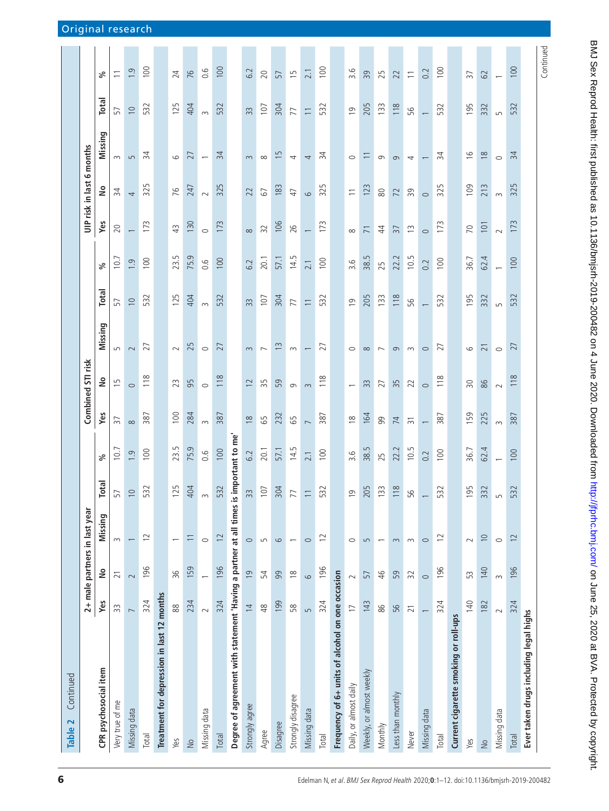| Continued<br>Table 2                                                 |                          |                 |                               |                          |                          |                                      |                          |                          |                          |                   |                          |                           |                          |                          |                                                |
|----------------------------------------------------------------------|--------------------------|-----------------|-------------------------------|--------------------------|--------------------------|--------------------------------------|--------------------------|--------------------------|--------------------------|-------------------|--------------------------|---------------------------|--------------------------|--------------------------|------------------------------------------------|
|                                                                      |                          |                 | 2+ male partners in last year |                          |                          |                                      | Combined STI risk        |                          |                          |                   |                          | UIP risk in last 6 months |                          |                          |                                                |
| CPR psychosocial item                                                | Yes                      | $\frac{1}{2}$   | Missing                       | <b>Tep</b>               | వ్                       | Yes                                  | $\frac{1}{2}$            | Missing                  | <b>Total</b>             | వ్                | Yes                      | $\frac{1}{2}$             | Missing                  | <b>Total</b>             | వ్                                             |
| Very true of me                                                      | 33                       | $\overline{2}1$ | $\sim$                        | 57                       | $\frac{1}{2}$            | $\overline{\overline{\overline{5}}}$ | $\overline{1}$           | 5                        | 57                       | $\overline{10}$ . | 20                       | $\overline{34}$           | $\sim$                   | 57                       | $\overline{\phantom{0}}$                       |
| Missing data                                                         | $\overline{ }$           | $\sim$          |                               | $\circ$                  | $\overline{1.9}$         | $\infty$                             | $\circ$                  | $\sim$                   | $\supseteq$              | $\ddot{0}$        | $\overline{\phantom{0}}$ | 4                         | $\overline{5}$           | $\supseteq$              | 1.9                                            |
| <b>Total</b>                                                         | 324                      | 196             | $\overline{C}$                | 52                       | 100                      | 387                                  | 118                      | 27                       | 532                      | 100               | 173                      | 325                       | $\overline{3}4$          | 532                      | 100                                            |
| Treatment for depression in last 12 months                           |                          |                 |                               |                          |                          |                                      |                          |                          |                          |                   |                          |                           |                          |                          |                                                |
| Yes                                                                  | 88                       | 96              |                               | 25                       | 23.5                     | 100                                  | 23                       | $\sim$                   | 125                      | 23.5              | 43                       | 76                        | 6                        | 125                      | 24                                             |
| $\frac{1}{2}$                                                        | 234                      | 159             | $\equiv$                      | 404                      | 75.9                     | 284                                  | 95                       | 25                       | 404                      | 75.9              | 130                      | 247                       | 27                       | 404                      | 76                                             |
| Missing data                                                         | $\sim$                   |                 | $\circ$                       |                          | 0.6                      | $\sim$                               | $\circ$                  | $\circ$                  | $\sim$                   | 0.6               | $\circ$                  | $\sim$                    | $\overline{\phantom{m}}$ | $\sim$                   | $\frac{6}{10}$                                 |
| <b>Total</b>                                                         | 324                      | 196             | $\overline{c}$                | 532                      | 100                      | 387                                  | 118                      | 27                       | 532                      | 100               | 173                      | 325                       | $\overline{3}$           | 532                      | 100                                            |
| Degree of agreement with statement 'Having a partner at all times is |                          |                 |                               |                          | important to me'         |                                      |                          |                          |                          |                   |                          |                           |                          |                          |                                                |
| Strongly agree                                                       | $\overline{4}$           | $\overline{0}$  | $\circ$                       | 33                       | 6.2                      | $\approx$                            | $\overline{2}$           | $\sim$                   | 33                       | 6.2               | $\infty$                 | 22                        | $\sim$                   | 33                       | 6.2                                            |
| Agree                                                                | 48                       | 54              | S                             | $\overline{0}$           | 20.1                     | 65                                   | 35                       | $\overline{ }$           | 107                      | 20.1              | 32                       | 67                        | $\infty$                 | 107                      | 20                                             |
| Disagree                                                             | 199                      | 99              | 6                             | 304                      | 57.1                     | 232                                  | 59                       | $\frac{1}{3}$            | 304                      | 57.1              | 106                      | 183                       | $\overline{15}$          | 304                      | 57                                             |
| Strongly disagree                                                    | 58                       | $\frac{8}{10}$  |                               | $\overline{\phantom{0}}$ | 14.5                     | 65                                   | $\sigma$                 | $\sim$                   | 77                       | 14.5              | 26                       | 47                        | 4                        | 77                       | 15                                             |
| Missing data                                                         | $\sqrt{ }$               | $\circ$         | $\circ$                       | $\equiv$                 | 2.1                      | $\overline{\phantom{0}}$             | $\sim$                   |                          | $\overline{\phantom{0}}$ | 2.1               | $\overline{\phantom{0}}$ | $\circ$                   | 4                        | $\overline{\phantom{0}}$ | 2.1                                            |
| <b>Total</b>                                                         | 324                      | 196             | $\overline{c}$                | 32                       | 100                      | 387                                  | 118                      | 27                       | 532                      | 100               | 173                      | 325                       | $\overline{3}4$          | 532                      | 100                                            |
| Frequency of 6+ units of alcohol on one occasion                     |                          |                 |                               |                          |                          |                                      |                          |                          |                          |                   |                          |                           |                          |                          |                                                |
| Daily, or almost daily                                               | $\overline{1}$           | $\sim$          | $\circ$                       | $\circ$                  | 3.6                      | $\frac{8}{10}$                       | $\overline{\phantom{0}}$ | $\circ$                  | $\overline{0}$           | 3.6               | $\infty$                 | $\overline{\phantom{0}}$  | $\circ$                  | $\overline{0}$           | 3.6                                            |
| Weekly, or almost weekly                                             | 143                      | 57              | $\overline{5}$                | 205                      | 38.5                     | 164                                  | 33                       | $\infty$                 | 205                      | 38.5              | $\overline{7}$           | 123                       | $\overline{1}$           | 205                      | 39                                             |
| Monthly                                                              | 86                       | $\frac{4}{6}$   |                               | 33                       | 25                       | 99                                   | 27                       | $\overline{\phantom{0}}$ | 133                      | 25                | $\ddot{4}$               | $\rm{SO}$                 | $\sigma$                 | 133                      | 25                                             |
| Less than monthly                                                    | 56                       | 59              | $\infty$                      | 118                      | 22.2                     | 74                                   | 35                       | $\sigma$                 | 118                      | 22.2              | $\overline{37}$          | 72                        | $\sigma$                 | 118                      | 22                                             |
| Never                                                                | $\overline{21}$          | 32              | $\sim$                        | $\overline{Q}$           | 10.5                     | $\overline{3}$                       | 22                       | $\sim$                   | 95                       | 10.5              | $\widetilde{\Xi}$        | 39                        | 4                        | 95                       | $\overline{\overline{\phantom{0}}\phantom{0}}$ |
| Missing data                                                         | $\overline{\phantom{0}}$ | $\circ$         | $\circ$                       |                          | 0.2                      | $\overline{\phantom{0}}$             | $\circ$                  | $\circ$                  |                          | 0.2               | $\circ$                  | $\circ$                   |                          |                          | 0.2                                            |
| <b>Total</b>                                                         | 324                      | 196             | $\approx$                     | 32                       | 100                      | 387                                  | 118                      | 27                       | 532                      | 100               | 173                      | 325                       | 34                       | 532                      | 100                                            |
| Current cigarette smoking or roll-ups                                |                          |                 |                               |                          |                          |                                      |                          |                          |                          |                   |                          |                           |                          |                          |                                                |
| Yes                                                                  | 140                      | 53              | $\sim$                        | 95                       | 36.7                     | 159                                  | $\overline{50}$          | $\circ$                  | 195                      | 36.7              | 70                       | 109                       | $\frac{6}{2}$            | 195                      | 37                                             |
| $\frac{1}{2}$                                                        | 182                      | 140             | $\supseteq$                   | 32                       | 62.4                     | 225                                  | 86                       | $\overline{\sim}$        | 332                      | 62.4              | 101                      | 213                       | $\frac{8}{2}$            | 332                      | 62                                             |
| Missing data                                                         | $\sim$                   | $\infty$        | $\circ$                       |                          | $\overline{\phantom{0}}$ | $\sim$                               | $\sim$                   | $\circ$                  | $\overline{5}$           |                   | $\sim$                   | $\sim$                    | $\circ$                  | L                        | $\overline{\phantom{0}}$                       |
| Total                                                                | 324                      | 196             | $\approx$                     | 32<br>m                  | 100                      | 387                                  | 118                      | 27                       | 532                      | 100               | 173                      | 325                       | 34                       | 532                      | 100                                            |
| Ever taken drugs including legal highs                               |                          |                 |                               |                          |                          |                                      |                          |                          |                          |                   |                          |                           |                          |                          |                                                |
|                                                                      |                          |                 |                               |                          |                          |                                      |                          |                          |                          |                   |                          |                           |                          |                          | Continued                                      |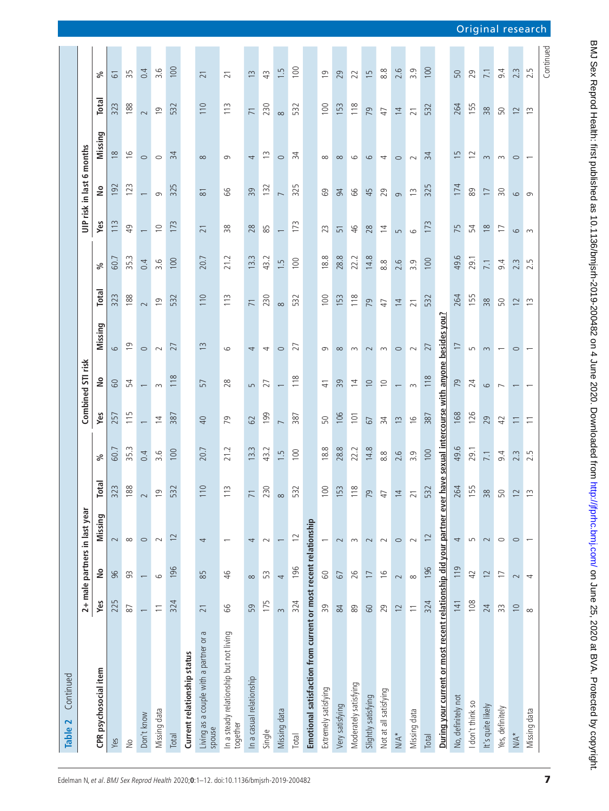| Continued<br>Table 2                                                  |                                                |                          |                               |                 |               |                          |                          |                                                  |                   |               |                          |                           |                          |                 |                  |
|-----------------------------------------------------------------------|------------------------------------------------|--------------------------|-------------------------------|-----------------|---------------|--------------------------|--------------------------|--------------------------------------------------|-------------------|---------------|--------------------------|---------------------------|--------------------------|-----------------|------------------|
|                                                                       |                                                |                          | 2+ male partners in last year |                 |               |                          | Combined STI risk        |                                                  |                   |               |                          | UIP risk in last 6 months |                          |                 |                  |
| CPR psychosocial item                                                 | Yes                                            | $\frac{1}{2}$            | Missing                       | Total           | వ్            | Yes                      | å                        | Missing                                          | Total             | ್ಗೆ           | Yes                      | å                         | Missing                  | Total           | వ్               |
| Yes                                                                   | 225                                            | 96                       | $\sim$                        | 323             | 60.7          | 257                      | <b>GO</b>                | 6                                                | 323               | 60.7          | 113                      | 192                       | $\approx$                | 323             | $\overline{6}$   |
| $\geq$                                                                | $\rm 87$                                       | 93                       | $\infty$                      | 188             | 35.3          | 115                      | 54                       | $\overline{0}$                                   | 188               | 35.3          | 49                       | 123                       | $\frac{6}{2}$            | 188             | 35               |
| Don't know                                                            | $\overline{\phantom{0}}$                       | $\overline{\phantom{0}}$ | $\circ$                       | $\sim$          | 0.4           | $\overline{\phantom{0}}$ | $\overline{\phantom{0}}$ | $\circ$                                          | $\sim$            | 0.4           | $\overline{\phantom{0}}$ | $\overline{\phantom{0}}$  | $\circ$                  | $\sim$          | 0.4              |
| Missing data                                                          | $\equiv$                                       | $\circ$                  | $\sim$                        | $\overline{0}$  | 3.6           | $\overline{4}$           | $\infty$                 | $\sim$                                           | $\overline{0}$    | 3.6           | $\cup$                   | 9                         | $\circ$                  | $\overline{0}$  | 3.6              |
| Total                                                                 | 324                                            | 196                      | $\overline{c}$                | 532             | 100           | 387                      | 118                      | 27                                               | 532               | 100           | 173                      | 325                       | 34                       | 532             | 100              |
| Current relationship status                                           |                                                |                          |                               |                 |               |                          |                          |                                                  |                   |               |                          |                           |                          |                 |                  |
| $\sigma$<br>Living as a couple with a partner or<br>spouse            | $\overline{21}$                                | 85                       | 4                             | 110             | 20.7          | $\overline{40}$          | 57                       | $\widetilde{\Box}$                               | 110               | 20.7          | $\overline{21}$          | $\overline{8}$            | $\infty$                 | 110             | $\overline{21}$  |
| In a steady relationship but not living<br>together                   | 99                                             | 46                       |                               | 113             | 21.2          | 79                       | 28                       | $\circ$                                          | 113               | 21.2          | 38                       | 99                        | G                        | 113             | $\overline{21}$  |
| In a casual relationship                                              | 59                                             | $\infty$                 | 4                             | $\overline{7}$  | 13.3          | 62                       | 5                        | 4                                                | $\overline{7}$    | 13.3          | 28                       | 39                        | 4                        | $\overline{71}$ | S                |
| Single                                                                | 175                                            | 53                       | $\sim$                        | 230             | 43.2          | 199                      | 27                       | 4                                                | 230               | 43.2          | 85                       | 132                       | $\widetilde{\Box}$       | 230             | 43               |
| Missing data                                                          | $\infty$                                       | $\overline{4}$           |                               | $\infty$        | 1.5           | $\overline{ }$           | $\overline{\phantom{0}}$ | $\circ$                                          | $\infty$          | 1.5           | $\overline{\phantom{0}}$ | $\overline{ }$            | $\circ$                  | $\infty$        | 1.5              |
| <b>Total</b>                                                          | 324                                            | 196                      | $\overline{c}$                | 532             | 100           | 387                      | 118                      | 27                                               | 532               | 100           | 173                      | 325                       | 34                       | 532             | 100              |
| Emotional satisfaction from current or most recent relationship       |                                                |                          |                               |                 |               |                          |                          |                                                  |                   |               |                          |                           |                          |                 |                  |
| Extremely satisfying                                                  | 39                                             | $\infty$                 | $\overline{\phantom{0}}$      | 100             | 18.8          | 50                       | $\frac{4}{1}$            | G                                                | 100               | 18.8          | 23                       | 69                        | $\infty$                 | 100             | σ                |
| Very satisfying                                                       | 84                                             | 67                       | $\sim$                        | 153             | 28.8          | 106                      | 39                       | $\infty$                                         | 153               | 28.8          | $\overline{51}$          | 94                        | $\infty$                 | 153             | 29               |
| Moderately satisfying                                                 | 89                                             | 26                       | $\sim$                        | 118             | 22.2          | 101                      | $\overline{4}$           | $\sim$                                           | 118               | 22.2          | 46                       | 99                        | $\circ$                  | 118             | 22               |
| Slightly satisfying                                                   | $60\,$                                         | $\overline{1}$           | $\sim$                        | 79              | 14.8          | 67                       | $\supseteq$              | $\sim$                                           | 79                | 14.8          | 28                       | 45                        | $\circ$                  | 79              | $\overline{1}$   |
| Not at all satisfying                                                 | 29                                             | $\frac{6}{2}$            | $\sim$                        | 47              | $\frac{8}{8}$ | 34                       | $\cup$                   | $\sim$                                           | 47                | $\frac{8}{8}$ | $\overline{4}$           | 29                        | 4                        | 47              | 8.8              |
| $\mathbb{N}\mathbb{A}^*$                                              | $\overline{c}$                                 | $\sim$                   | $\circ$                       | $\overline{4}$  | 2.6           | $\frac{3}{2}$            | $\overline{\phantom{0}}$ | $\circ$                                          | $\overline{4}$    | 2.6           | $\overline{5}$           | $\sigma$                  | $\circ$                  | $\overline{4}$  | 2.6              |
| Missing data                                                          | $\overline{\overline{\phantom{0}}\phantom{0}}$ | $\infty$                 | $\sim$                        | $\overline{21}$ | 3.9           | $\frac{6}{2}$            | $\sim$                   | $\sim$                                           | $\overline{21}$   | 3.9           | $\circ$                  | $\widetilde{\Xi}$         | $\sim$                   | $\overline{21}$ | 3.9              |
| <b>Total</b>                                                          | 324                                            | 196                      | $\overline{2}$                | 532             | 100           | 387                      | 118                      | 27                                               | 532               | 100           | 173                      | 325                       | 34                       | 532             | 100              |
| During your current or most recent relationship did your partner ever |                                                |                          |                               |                 |               |                          |                          | have sexual intercourse with anyone besides you? |                   |               |                          |                           |                          |                 |                  |
| No, definitely not                                                    | 141                                            | 119                      | 4                             | 264             | 49.6          | 168                      | 79                       | $\overline{1}$                                   | 264               | 49.6          | 75                       | 174                       | $\overline{15}$          | 264             | 50               |
| I don't think so                                                      | 108                                            | 42                       | S                             | 155             | 29.1          | 126                      | 24                       | $\overline{5}$                                   | 155               | 29.1          | 54                       | 89                        | $\overline{c}$           | 155             | 29               |
| It's quite likely                                                     | 24                                             | $\overline{c}$           | $\sim$                        | 38              | 7.1           | 29                       | 6                        | $\sim$                                           | 38                | 7.1           | $\frac{8}{2}$            | $\overline{1}$            | 3                        | 38              | 7.1              |
| Yes, definitely                                                       | 33                                             | $\overline{1}$           | $\circ$                       | $50\,$          | 9.4           | 42                       | $\overline{ }$           | $\overline{\phantom{0}}$                         | 50                | 9.4           | $\overline{1}$           | $\overline{\mathrm{30}}$  | $\sim$                   | 50              | 9.4              |
| $N/A^*$                                                               | $\supseteq$                                    | $\sim$                   | $\circ$                       | $\overline{12}$ | 2.3           | $\overline{\phantom{0}}$ |                          | $\circ$                                          | $\overline{12}$   | 2.3           | $\circ$                  | 6                         | $\circ$                  | 12              | $\sim$<br>$\sim$ |
| Missing data                                                          | $\infty$                                       | 4                        |                               | $\frac{3}{2}$   | 2.5           | $\overline{1}$           |                          |                                                  | $\widetilde{\Xi}$ | 2.5           | $\sim$                   | $\sigma$                  | $\overline{\phantom{0}}$ | $\frac{3}{2}$   | 2.5              |
|                                                                       |                                                |                          |                               |                 |               |                          |                          |                                                  |                   |               |                          |                           |                          |                 | Continued        |

7

Original research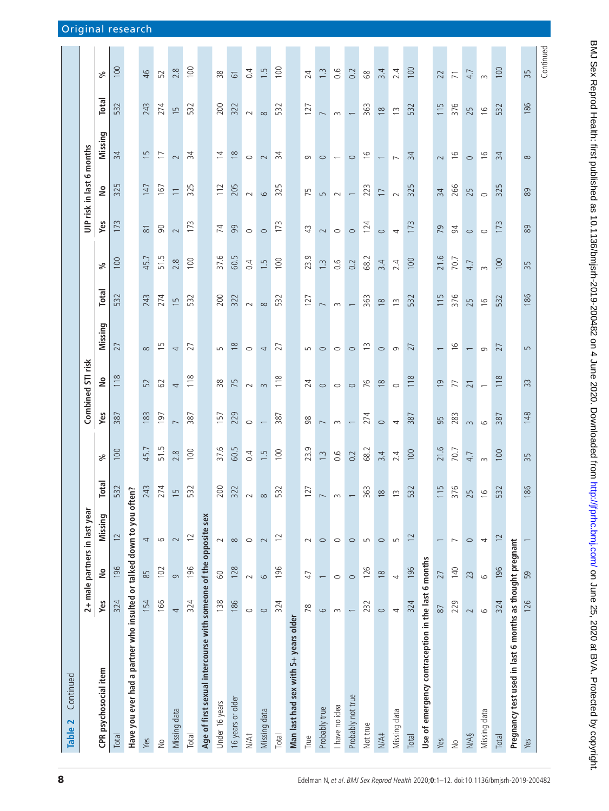| Continued<br>Table 2                                                  |          |                               |                               |                  |                   |                          |                          |                          |                |                  |           |                           |                               |                          |                |
|-----------------------------------------------------------------------|----------|-------------------------------|-------------------------------|------------------|-------------------|--------------------------|--------------------------|--------------------------|----------------|------------------|-----------|---------------------------|-------------------------------|--------------------------|----------------|
|                                                                       |          |                               | 2+ male partners in last year |                  |                   |                          | Combined STI risk        |                          |                |                  |           | UIP risk in last 6 months |                               |                          |                |
| CPR psychosocial item                                                 | Yes      | $\stackrel{\mathtt{o}}{\geq}$ | Missing                       | <b>Total</b>     | వ్                | Yes                      | $\tilde{=}$              | Missing                  | <b>Total</b>   | వ్               | Yes       | $\frac{1}{2}$             | Missing                       | <b>Total</b>             | వ్             |
| Total                                                                 | 324      | 196                           | 12                            | 532              | 100               | 387                      | 118                      | 27                       | 532            | 100              | 173       | 325                       | 34                            | 532                      | 100            |
| Have you ever had a partner who insulted or talked down to you often? |          |                               |                               |                  |                   |                          |                          |                          |                |                  |           |                           |                               |                          |                |
| Yes                                                                   | 154      | 85                            | 4                             | 243              | 45.7              | 183                      | 52                       | $\infty$                 | 243            | 45.7             | $\approx$ | 147                       | $\overline{15}$               | 243                      | 46             |
| $\geq$                                                                | 166      | 102                           | $\circ$                       | 274              | 51.5              | 197                      | 62                       | $\overline{1}$           | 274            | 51.5             | $\infty$  | 167                       | $\overline{1}$                | 274                      | 52             |
| Missing data                                                          | 4        | $\sigma$                      | $\sim$                        | $\mathsf{L}\cap$ | 2.8               | $\overline{ }$           | $\overline{4}$           | 4                        | $\overline{1}$ | 2.8              | $\sim$    | $\overline{\phantom{0}}$  | $\sim$                        | $\overline{15}$          | 2.8            |
| Total                                                                 | 324      | 196                           | $\overline{C}$                | 532              | 100               | 387                      | 118                      | 27                       | 532            | 100              | 173       | 325                       | 34                            | 532                      | 100            |
| Age of first sexual intercourse with someone of the opposite sex      |          |                               |                               |                  |                   |                          |                          |                          |                |                  |           |                           |                               |                          |                |
| Under 16 years                                                        | 138      | $\rm ^{\rm o}$                | $\sim$                        | 200              | 37.6              | 157                      | $\frac{8}{2}$            | S                        | 200            | 37.6             | 74        | 112                       | $\overline{4}$                | 200                      | 38             |
| 16 years or older                                                     | 186      | 128                           | $\infty$                      | 322              | 60.5              | 229                      | 75                       | $\approx$                | 322            | 60.5             | 99        | 205                       | $\approx$                     | 322                      | $\overline{6}$ |
| N/A <sup>+</sup>                                                      | $\circ$  | $\sim$                        | $\circ$                       | $\sim$ $\sim$    | 0.4               | $\circ$                  | $\sim$                   | $\circ$                  | $\sim$         | 0.4              | $\circ$   | $\sim$                    | $\circ$                       | $\sim$                   | 0.4            |
| Missing data                                                          | $\circ$  | $\circ$                       | $\sim$                        |                  | $\overline{1}$ .5 | $\overline{\phantom{0}}$ | $\sim$                   | 4                        | $\infty$       | 1.5              | $\circ$   | $\circ$                   | $\sim$                        | $\infty$                 | 1.5            |
| Total                                                                 | 324      | 196                           | $\overline{c}$                | 532              | 100               | 387                      | 118                      | 27                       | 532            | 100              | 173       | 325                       | $\overline{34}$               | 532                      | 100            |
| Man last had sex with 5+ years older                                  |          |                               |                               |                  |                   |                          |                          |                          |                |                  |           |                           |                               |                          |                |
| True                                                                  | 78       | $\overline{4}$                | $\sim$                        | 27               | 23.9              | 98                       | 24                       | S                        | 127            | 23.9             | 43        | 75                        | $\sigma$                      | 127                      | 24             |
| Probably true                                                         | $\circ$  |                               | $\circ$                       |                  | $\frac{1}{3}$     | $\overline{\phantom{0}}$ | $\circ$                  | $\circ$                  | $\overline{ }$ | $1.\overline{3}$ | $\sim$    | $\overline{5}$            | $\circ$                       | $\overline{ }$           | $\tilde{=}$    |
| I have no idea                                                        | $\sim$   | $\circ$                       | $\circ$                       | $\sim$           | 0.6               | $\sim$                   | $\circ$                  | $\circ$                  | $\sim$         | 0.6              | $\circ$   | $\sim$                    | $\overline{\phantom{m}}$      | $\sim$                   | 0.6            |
| Probably not true                                                     |          | $\circ$                       | $\circ$                       |                  | 0.2               | $\overline{\phantom{0}}$ | $\circ$                  | $\circ$                  |                | 0.2              | $\circ$   | $\overline{\phantom{0}}$  | $\circ$                       | $\overline{\phantom{0}}$ | 0.2            |
| Not true                                                              | 232      | 126                           | $\overline{5}$                | 63               | 68.2              | 274                      | 76                       | $\tilde{c}$              | 363            | 68.2             | 124       | 223                       | $\frac{6}{2}$                 | 363                      | 89             |
| N/A#                                                                  | $\circ$  | $\frac{8}{10}$                | $\circ$                       | $\infty$         | 3.4               | $\circ$                  | $\frac{8}{2}$            | $\circ$                  | $\frac{8}{10}$ | 3.4              | $\circ$   | $\overline{1}$            | $\overbrace{\phantom{13333}}$ | $\frac{8}{2}$            | 3.4            |
| Missing data                                                          | 4        | 4                             | $\overline{5}$                | $\sim$           | 2.4               | $\overline{\phantom{a}}$ | $\circ$                  | $\sigma$                 | $\frac{3}{2}$  | 2.4              | 4         | $\sim$                    | $\overline{\phantom{0}}$      | $\frac{3}{2}$            | 2.4            |
| <b>Total</b>                                                          | 324      | 196                           | $\overline{c}$                | 532              | 100               | 387                      | 118                      | 27                       | 532            | 100              | 173       | 325                       | 34                            | 532                      | 100            |
| Use of emergency contraception in the last 6 months                   |          |                               |                               |                  |                   |                          |                          |                          |                |                  |           |                           |                               |                          |                |
| Yes                                                                   | $\rm 87$ | 27                            |                               | 115              | 21.6              | 95                       | $\overline{0}$           | $\overline{\phantom{0}}$ | 115            | 21.6             | 79        | 34                        | $\sim$                        | 115                      | 22             |
| $\frac{1}{2}$                                                         | 229      | 140                           | $\overline{ }$                | 376              | 70.7              | 283                      | 77                       | $\frac{6}{2}$            | 376            | 70.7             | 94        | 266                       | $\frac{6}{2}$                 | 376                      | $\overline{7}$ |
| N/AS                                                                  | $\sim$   | 23                            | $\circ$                       | Ĕ.               | 4.7               | $\sim$                   | $\overline{21}$          |                          | 25             | 4.7              | $\circ$   | 25                        | $\circ$                       | 25                       | 4.7            |
| Missing data                                                          | $\circ$  | $\circ$                       | 4                             | $\circ$          | $\sim$            | $\circ$                  | $\overline{\phantom{0}}$ | $\sigma$                 | $\frac{6}{2}$  | $\sim$           | $\circ$   | $\circ$                   | $\frac{6}{1}$                 | $\frac{6}{2}$            | $\sim$         |
| Total                                                                 | 324      | 196                           | $\overline{12}$               | 32               | 100               | 387                      | 118                      | 27                       | 532            | 100              | 173       | 325                       | 34                            | 532                      | 100            |
| Pregnancy test used in last 6 months as thought pregnant              |          |                               |                               |                  |                   |                          |                          |                          |                |                  |           |                           |                               |                          |                |
| Yes                                                                   | 126      | 59                            |                               | 86               | 35                | 148                      | 33                       | $\overline{5}$           | 86             | 35               | 89        | 89                        | $\infty$                      | 186                      | 35             |
|                                                                       |          |                               |                               |                  |                   |                          |                          |                          |                |                  |           |                           |                               |                          | Continued      |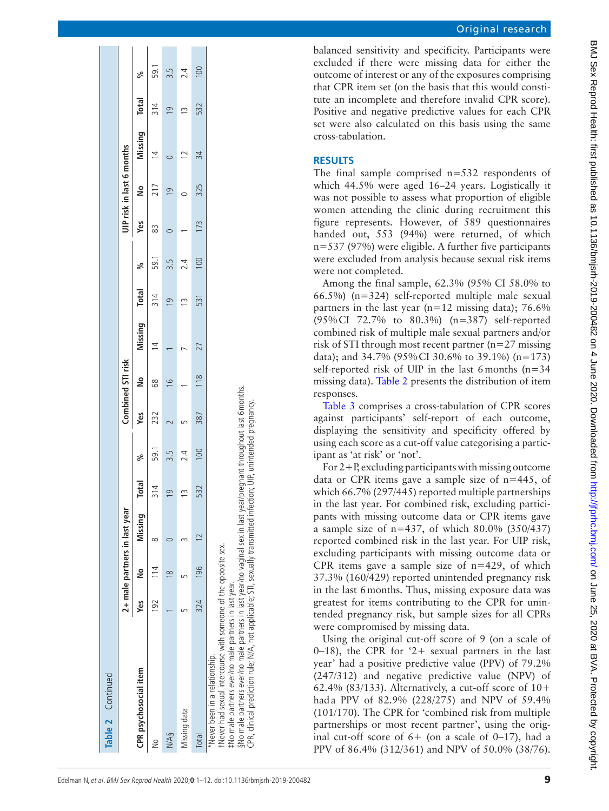| Table 2 Continued                                                                                                                                                                                                                                                                                                                                                                                       |     |                |                               |                         |      |     |                   |               |                |      |     |                           |               |                |      |
|---------------------------------------------------------------------------------------------------------------------------------------------------------------------------------------------------------------------------------------------------------------------------------------------------------------------------------------------------------------------------------------------------------|-----|----------------|-------------------------------|-------------------------|------|-----|-------------------|---------------|----------------|------|-----|---------------------------|---------------|----------------|------|
|                                                                                                                                                                                                                                                                                                                                                                                                         |     |                | 2+ male partners in last year |                         |      |     | Combined STI risk |               |                |      |     | UIP risk in last 6 months |               |                |      |
| CPR psychosocial item                                                                                                                                                                                                                                                                                                                                                                                   | Yes | $\frac{8}{2}$  | Missing                       | <b>Total</b>            | ಸಿ   | уeз | å                 | Missing Total |                | ್ಗೆ  | yes | å                         | Missing Total |                | ್ಧ   |
| $\geq$                                                                                                                                                                                                                                                                                                                                                                                                  | 192 |                |                               | 314                     | 59.1 | 232 | 89                |               | 314            | 59.1 | 83  | 217                       |               | 314            | 59.1 |
| N/A§                                                                                                                                                                                                                                                                                                                                                                                                    |     | $\infty$       |                               | $\overline{\mathsf{C}}$ |      |     | $\circ$           |               | $\overline{9}$ | 3.5  |     | $\overline{9}$            |               | $\overline{0}$ |      |
| Missing data                                                                                                                                                                                                                                                                                                                                                                                            |     |                |                               | 13                      |      |     |                   |               |                | 2.4  |     |                           |               |                |      |
| Total                                                                                                                                                                                                                                                                                                                                                                                                   | 324 | $\frac{96}{2}$ |                               | 532                     | 100  | 387 | 118               | 27            | 531            | 100  | 173 | 325                       | 34            | 532            |      |
| §No male partners ever/no male partners in last year/no vaginal sex in last year/pregnant throughout last 6 months.<br>CPR, clinical prediction rule; N/A, not applicable; STI, sexually transmitted infection; UIP, unintended pregnancy.<br>tNever had sexual intercourse with someone of the opposite sex.<br>#No male partners ever/no male partners in last year.<br>Never been in a relationship. |     |                |                               |                         |      |     |                   |               |                |      |     |                           |               |                |      |

balanced sensitivity and specificity. Participants were excluded if there were missing data for either the outcome of interest or any of the exposures comprising that CPR item set (on the basis that this would consti tute an incomplete and therefore invalid CPR score). Positive and negative predictive values for each CPR set were also calculated on this basis using the same cross-tabulation.

# **Results**

The final sample comprised  $n=532$  respondents of which 44.5% were aged 16–24 years. Logistically it was not possible to assess what proportion of eligible women attending the clinic during recruitment this figure represents. However, of 589 questionnaires handed out, 553 (94%) were returned, of which n=537 (97%) were eligible. A further five participants were excluded from analysis because sexual risk items were not completed.

Among the final sample, 62.3% (95% CI 58.0% to 66.5%) (n=324) self-reported multiple male sexual partners in the last year ( $n=12$  missing data); 76.6% (95%CI 72.7% to 80.3%) (n=387) self -reported combined risk of multiple male sexual partners and/or risk of STI through most recent partner (n=27 missing data); and 34.7% (95%CI 30.6% to 39.1%) (n=173) self -reported risk of UIP in the last 6months (n=34 missing data). [Table](#page-5-0) 2 presents the distribution of item responses.

[Table](#page-10-0) 3 comprises a cross-tabulation of CPR scores against participants' self-report of each outcome, displaying the sensitivity and specificity offered by using each score as a cut-off value categorising a partic ipant as 'at risk' or 'not'.

For 2+P, excluding participants with missing outcome data or CPR items gave a sample size of n=445, of which 66.7% (297/445) reported multiple partnerships in the last year. For combined risk, excluding partici pants with missing outcome data or CPR items gave a sample size of  $n=437$ , of which 80.0% (350/437) reported combined risk in the last year. For UIP risk, excluding participants with missing outcome data or CPR items gave a sample size of  $n=429$ , of which 37.3% (160/429) reported unintended pregnancy risk in the last 6months. Thus, missing exposure data was greatest for items contributing to the CPR for unin tended pregnancy risk, but sample sizes for all CPRs were compromised by missing data.

Using the original cut-off score of 9 (on a scale of  $0-18$ ), the CPR for '2+ sexual partners in the last year' had a positive predictive value (PPV) of 79.2% (247/312) and negative predictive value (NPV) of 62.4% (83/133). Alternatively, a cut-off score of  $10+$ hada PPV of 82.9% (228/275) and NPV of 59.4% (101/170). The CPR for 'combined risk from multiple partnerships or most recent partner', using the orig inal cut-off score of  $6+$  (on a scale of 0–17), had a PPV of 86.4% (312/361) and NPV of 50.0% (38/76).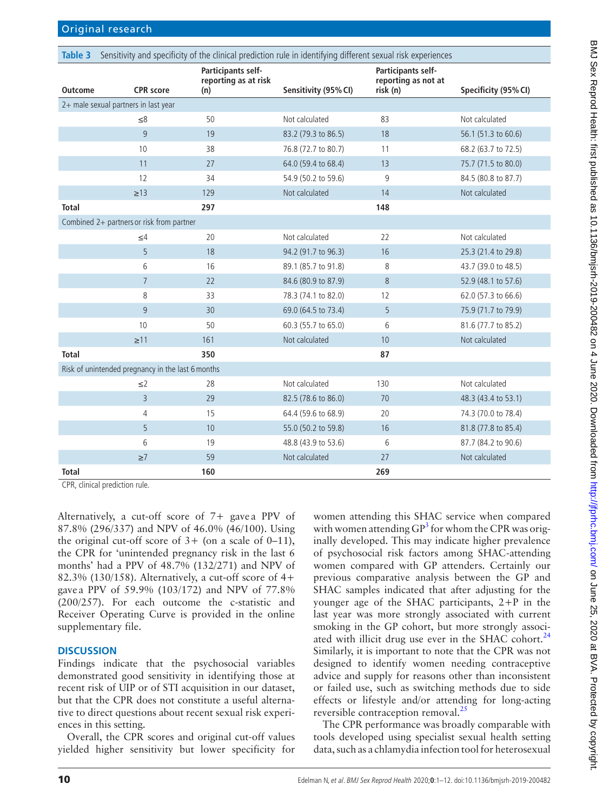<span id="page-10-0"></span>

| Table 3        | Sensitivity and specificity of the clinical prediction rule in identifying different sexual risk experiences |                                            |                      |                                           |                      |
|----------------|--------------------------------------------------------------------------------------------------------------|--------------------------------------------|----------------------|-------------------------------------------|----------------------|
| <b>Outcome</b> | <b>CPR</b> score                                                                                             | Participants self-<br>reporting as at risk |                      | Participants self-<br>reporting as not at |                      |
|                |                                                                                                              | (n)                                        | Sensitivity (95% CI) | risk (n)                                  | Specificity (95% CI) |
|                | 2+ male sexual partners in last year                                                                         |                                            |                      |                                           |                      |
|                | $\leq 8$                                                                                                     | 50                                         | Not calculated       | 83                                        | Not calculated       |
|                | 9                                                                                                            | 19                                         | 83.2 (79.3 to 86.5)  | 18                                        | 56.1 (51.3 to 60.6)  |
|                | 10                                                                                                           | 38                                         | 76.8 (72.7 to 80.7)  | 11                                        | 68.2 (63.7 to 72.5)  |
|                | 11                                                                                                           | 27                                         | 64.0 (59.4 to 68.4)  | 13                                        | 75.7 (71.5 to 80.0)  |
|                | 12                                                                                                           | 34                                         | 54.9 (50.2 to 59.6)  | 9                                         | 84.5 (80.8 to 87.7)  |
|                | $\geq$ 13                                                                                                    | 129                                        | Not calculated       | 14                                        | Not calculated       |
| <b>Total</b>   |                                                                                                              | 297                                        |                      | 148                                       |                      |
|                | Combined 2+ partners or risk from partner                                                                    |                                            |                      |                                           |                      |
|                | $\leq 4$                                                                                                     | 20                                         | Not calculated       | 22                                        | Not calculated       |
|                | 5                                                                                                            | 18                                         | 94.2 (91.7 to 96.3)  | 16                                        | 25.3 (21.4 to 29.8)  |
|                | 6                                                                                                            | 16                                         | 89.1 (85.7 to 91.8)  | 8                                         | 43.7 (39.0 to 48.5)  |
|                | $\overline{7}$                                                                                               | 22                                         | 84.6 (80.9 to 87.9)  | 8                                         | 52.9 (48.1 to 57.6)  |
|                | 8                                                                                                            | 33                                         | 78.3 (74.1 to 82.0)  | 12                                        | 62.0 (57.3 to 66.6)  |
|                | 9                                                                                                            | 30                                         | 69.0 (64.5 to 73.4)  | 5                                         | 75.9 (71.7 to 79.9)  |
|                | 10                                                                                                           | 50                                         | 60.3 (55.7 to 65.0)  | 6                                         | 81.6 (77.7 to 85.2)  |
|                | $\geq$ 11                                                                                                    | 161                                        | Not calculated       | 10                                        | Not calculated       |
| <b>Total</b>   |                                                                                                              | 350                                        |                      | 87                                        |                      |
|                | Risk of unintended pregnancy in the last 6 months                                                            |                                            |                      |                                           |                      |
|                | $\leq$ 2                                                                                                     | 28                                         | Not calculated       | 130                                       | Not calculated       |
|                | $\overline{3}$                                                                                               | 29                                         | 82.5 (78.6 to 86.0)  | 70                                        | 48.3 (43.4 to 53.1)  |
|                | $\overline{4}$                                                                                               | 15                                         | 64.4 (59.6 to 68.9)  | 20                                        | 74.3 (70.0 to 78.4)  |
|                | 5                                                                                                            | 10                                         | 55.0 (50.2 to 59.8)  | 16                                        | 81.8 (77.8 to 85.4)  |
|                | 6                                                                                                            | 19                                         | 48.8 (43.9 to 53.6)  | 6                                         | 87.7 (84.2 to 90.6)  |
|                | $\geq 7$                                                                                                     | 59                                         | Not calculated       | 27                                        | Not calculated       |
| <b>Total</b>   |                                                                                                              | 160                                        |                      | 269                                       |                      |

CPR, clinical prediction rule.

Alternatively, a cut-off score of 7+ gave a PPV of 87.8% (296/337) and NPV of 46.0% (46/100). Using the original cut-off score of  $3+$  (on a scale of 0–11), the CPR for 'unintended pregnancy risk in the last 6 months' had a PPV of 48.7% (132/271) and NPV of 82.3% (130/158). Alternatively, a cut-off score of 4+ gave a PPV of 59.9% (103/172) and NPV of 77.8% (200/257). For each outcome the c-statistic and Receiver Operating Curve is provided in the [online](https://dx.doi.org/10.1136/bmjsrh-2019-200482)  [supplementary file.](https://dx.doi.org/10.1136/bmjsrh-2019-200482)

# **Discussion**

Findings indicate that the psychosocial variables demonstrated good sensitivity in identifying those at recent risk of UIP or of STI acquisition in our dataset, but that the CPR does not constitute a useful alternative to direct questions about recent sexual risk experiences in this setting.

Overall, the CPR scores and original cut-off values yielded higher sensitivity but lower specificity for

women attending this SHAC service when compared with women attending  $GP^3$  $GP^3$  for whom the CPR was originally developed. This may indicate higher prevalence of psychosocial risk factors among SHAC-attending women compared with GP attenders. Certainly our previous comparative analysis between the GP and SHAC samples indicated that after adjusting for the younger age of the SHAC participants, 2+P in the last year was more strongly associated with current smoking in the GP cohort, but more strongly associated with illicit drug use ever in the SHAC cohort. $^{24}$ Similarly, it is important to note that the CPR was not designed to identify women needing contraceptive advice and supply for reasons other than inconsistent or failed use, such as switching methods due to side effects or lifestyle and/or attending for long-acting reversible contraception removal.<sup>[25](#page-12-18)</sup>

The CPR performance was broadly comparable with tools developed using specialist sexual health setting data, such as a chlamydia infection tool for heterosexual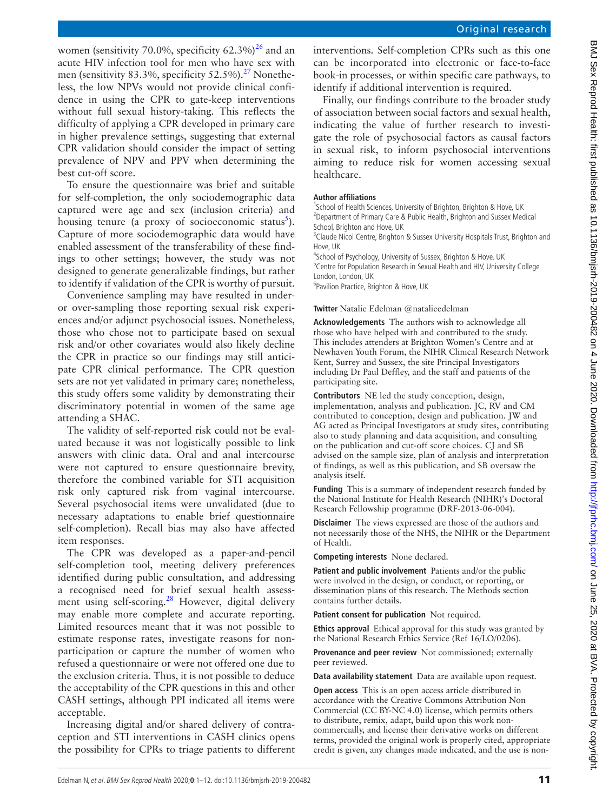BMJ Sex Reprod Health: first published as 10.11136/bmjsrh-2019-200482 on 4 June 2020. Downloaded from http://fprhc.bmj.com/ on June 25, 2020 at BVA. Protected by copyright BMJ Sex Reprod Health: first published as 10.1136/bmjsrh-200482 on 4 June 2020. Downloaded from http://jtprhc.bmj.com/ on June 25, 2020 at BVA. Protected by copyright

women (sensitivity 70.0%, specificity  $62.3\%$ )<sup>[26](#page-12-19)</sup> and an acute HIV infection tool for men who have sex with men (sensitivity 83.3%, specificity 52.5%).<sup>27</sup> Nonetheless, the low NPVs would not provide clinical confidence in using the CPR to gate-keep interventions without full sexual history-taking. This reflects the difficulty of applying a CPR developed in primary care in higher prevalence settings, suggesting that external CPR validation should consider the impact of setting prevalence of NPV and PPV when determining the best cut-off score.

To ensure the questionnaire was brief and suitable for self-completion, the only sociodemographic data captured were age and sex (inclusion criteria) and housing tenure (a proxy of socioeconomic status<sup>[5](#page-12-21)</sup>). Capture of more sociodemographic data would have enabled assessment of the transferability of these findings to other settings; however, the study was not designed to generate generalizable findings, but rather to identify if validation of the CPR is worthy of pursuit.

Convenience sampling may have resulted in underor over-sampling those reporting sexual risk experiences and/or adjunct psychosocial issues. Nonetheless, those who chose not to participate based on sexual risk and/or other covariates would also likely decline the CPR in practice so our findings may still anticipate CPR clinical performance. The CPR question sets are not yet validated in primary care; nonetheless, this study offers some validity by demonstrating their discriminatory potential in women of the same age attending a SHAC.

The validity of self-reported risk could not be evaluated because it was not logistically possible to link answers with clinic data. Oral and anal intercourse were not captured to ensure questionnaire brevity, therefore the combined variable for STI acquisition risk only captured risk from vaginal intercourse. Several psychosocial items were unvalidated (due to necessary adaptations to enable brief questionnaire self-completion). Recall bias may also have affected item responses.

The CPR was developed as a paper-and-pencil self-completion tool, meeting delivery preferences identified during public consultation, and addressing a recognised need for brief sexual health assessment using self-scoring.<sup>28</sup> However, digital delivery may enable more complete and accurate reporting. Limited resources meant that it was not possible to estimate response rates, investigate reasons for nonparticipation or capture the number of women who refused a questionnaire or were not offered one due to the exclusion criteria. Thus, it is not possible to deduce the acceptability of the CPR questions in this and other CASH settings, although PPI indicated all items were acceptable.

Increasing digital and/or shared delivery of contraception and STI interventions in CASH clinics opens the possibility for CPRs to triage patients to different

interventions. Self-completion CPRs such as this one can be incorporated into electronic or face-to-face book-in processes, or within specific care pathways, to identify if additional intervention is required.

Finally, our findings contribute to the broader study of association between social factors and sexual health, indicating the value of further research to investigate the role of psychosocial factors as causal factors in sexual risk, to inform psychosocial interventions aiming to reduce risk for women accessing sexual healthcare.

#### **Author affiliations**

<sup>1</sup>School of Health Sciences, University of Brighton, Brighton & Hove, UK <sup>2</sup> Department of Primary Care & Public Health, Brighton and Sussex Medical School, Brighton and Hove, UK

<sup>3</sup>Claude Nicol Centre, Brighton & Sussex University Hospitals Trust, Brighton and Hove, UK

4 School of Psychology, University of Sussex, Brighton & Hove, UK <sup>5</sup> Centre for Population Research in Sexual Health and HIV, University College

London, London, UK

6 Pavilion Practice, Brighton & Hove, UK

**Twitter** Natalie Edelman [@natalieedelman](https://twitter.com/natalieedelman)

**Acknowledgements** The authors wish to acknowledge all those who have helped with and contributed to the study. This includes attenders at Brighton Women's Centre and at Newhaven Youth Forum, the NIHR Clinical Research Network Kent, Surrey and Sussex, the site Principal Investigators including Dr Paul Deffley, and the staff and patients of the participating site.

**Contributors** NE led the study conception, design, implementation, analysis and publication. JC, RV and CM contributed to conception, design and publication. JW and AG acted as Principal Investigators at study sites, contributing also to study planning and data acquisition, and consulting on the publication and cut-off score choices. CJ and SB advised on the sample size, plan of analysis and interpretation of findings, as well as this publication, and SB oversaw the analysis itself.

**Funding** This is a summary of independent research funded by the National Institute for Health Research (NIHR)'s Doctoral Research Fellowship programme (DRF-2013-06-004).

**Disclaimer** The views expressed are those of the authors and not necessarily those of the NHS, the NIHR or the Department of Health.

**Competing interests** None declared.

**Patient and public involvement** Patients and/or the public were involved in the design, or conduct, or reporting, or dissemination plans of this research. The Methods section contains further details.

**Patient consent for publication** Not required.

**Ethics approval** Ethical approval for this study was granted by the National Research Ethics Service (Ref 16/LO/0206).

**Provenance and peer review** Not commissioned; externally peer reviewed.

**Data availability statement** Data are available upon request.

**Open access** This is an open access article distributed in accordance with the Creative Commons Attribution Non Commercial (CC BY-NC 4.0) license, which permits others to distribute, remix, adapt, build upon this work noncommercially, and license their derivative works on different terms, provided the original work is properly cited, appropriate credit is given, any changes made indicated, and the use is non-